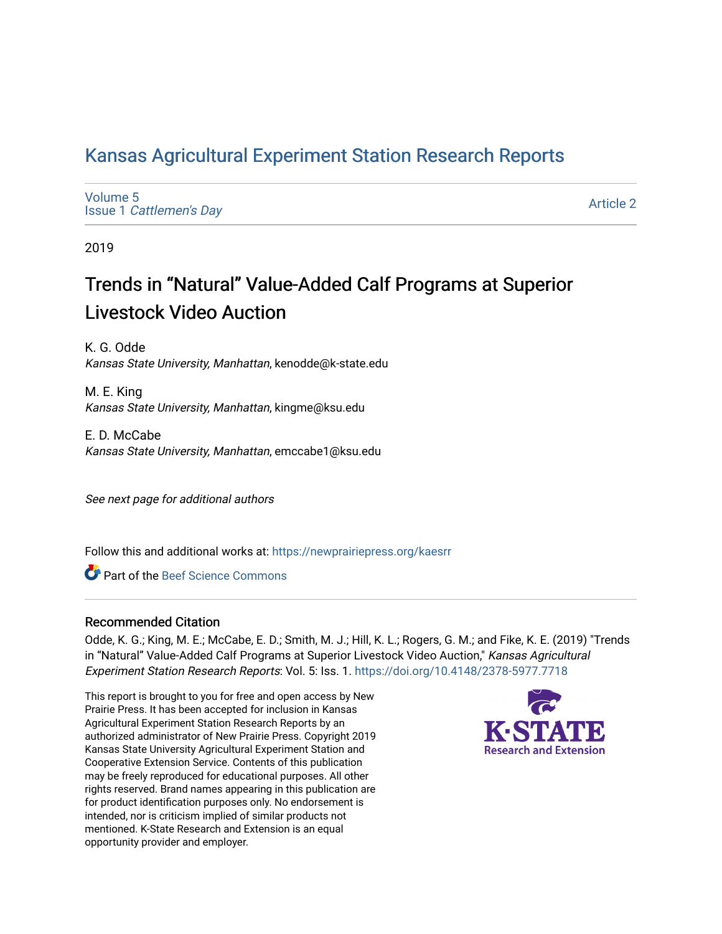## [Kansas Agricultural Experiment Station Research Reports](https://newprairiepress.org/kaesrr)

[Volume 5](https://newprairiepress.org/kaesrr/vol5) Issue 1 [Cattlemen's Day](https://newprairiepress.org/kaesrr/vol5/iss1) 

[Article 2](https://newprairiepress.org/kaesrr/vol5/iss1/2) 

2019

## Trends in "Natural" Value-Added Calf Programs at Superior Livestock Video Auction

K. G. Odde Kansas State University, Manhattan, kenodde@k-state.edu

M. E. King Kansas State University, Manhattan, kingme@ksu.edu

E. D. McCabe Kansas State University, Manhattan, emccabe1@ksu.edu

See next page for additional authors

Follow this and additional works at: [https://newprairiepress.org/kaesrr](https://newprairiepress.org/kaesrr?utm_source=newprairiepress.org%2Fkaesrr%2Fvol5%2Fiss1%2F2&utm_medium=PDF&utm_campaign=PDFCoverPages) 

Part of the [Beef Science Commons](http://network.bepress.com/hgg/discipline/1404?utm_source=newprairiepress.org%2Fkaesrr%2Fvol5%2Fiss1%2F2&utm_medium=PDF&utm_campaign=PDFCoverPages) 

### Recommended Citation

Odde, K. G.; King, M. E.; McCabe, E. D.; Smith, M. J.; Hill, K. L.; Rogers, G. M.; and Fike, K. E. (2019) "Trends in "Natural" Value-Added Calf Programs at Superior Livestock Video Auction," Kansas Agricultural Experiment Station Research Reports: Vol. 5: Iss. 1. <https://doi.org/10.4148/2378-5977.7718>

This report is brought to you for free and open access by New Prairie Press. It has been accepted for inclusion in Kansas Agricultural Experiment Station Research Reports by an authorized administrator of New Prairie Press. Copyright 2019 Kansas State University Agricultural Experiment Station and Cooperative Extension Service. Contents of this publication may be freely reproduced for educational purposes. All other rights reserved. Brand names appearing in this publication are for product identification purposes only. No endorsement is intended, nor is criticism implied of similar products not mentioned. K-State Research and Extension is an equal opportunity provider and employer.

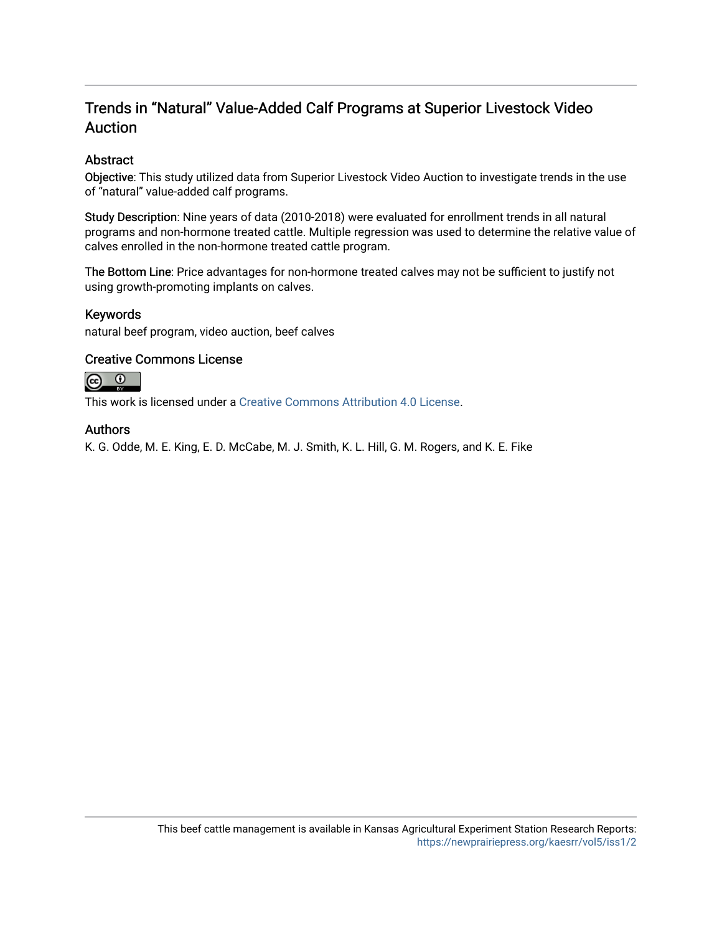## Trends in "Natural" Value-Added Calf Programs at Superior Livestock Video Auction

### Abstract

Objective: This study utilized data from Superior Livestock Video Auction to investigate trends in the use of "natural" value-added calf programs.

Study Description: Nine years of data (2010-2018) were evaluated for enrollment trends in all natural programs and non-hormone treated cattle. Multiple regression was used to determine the relative value of calves enrolled in the non-hormone treated cattle program.

The Bottom Line: Price advantages for non-hormone treated calves may not be sufficient to justify not using growth-promoting implants on calves.

### Keywords

natural beef program, video auction, beef calves

### Creative Commons License



This work is licensed under a [Creative Commons Attribution 4.0 License](https://creativecommons.org/licenses/by/4.0/).

### Authors

K. G. Odde, M. E. King, E. D. McCabe, M. J. Smith, K. L. Hill, G. M. Rogers, and K. E. Fike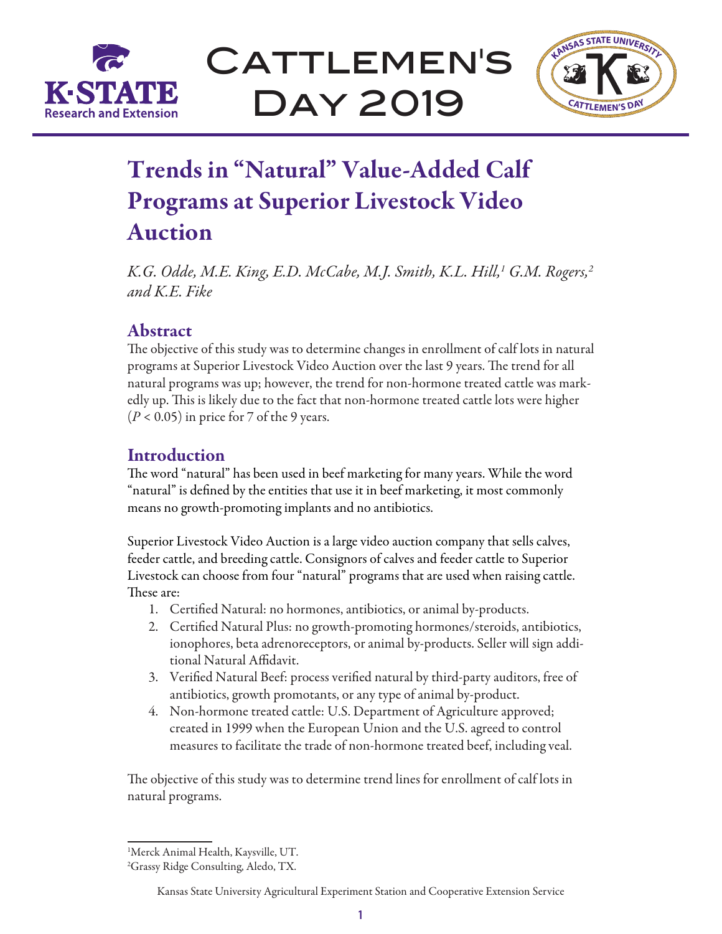

CATTLEMEN'S Day 2019



# Trends in "Natural" Value-Added Calf Programs at Superior Livestock Video Auction

*K.G. Odde, M.E. King, E.D. McCabe, M.J. Smith, K.L. Hill,1 G.M. Rogers,2 and K.E. Fike*

## Abstract

The objective of this study was to determine changes in enrollment of calf lots in natural programs at Superior Livestock Video Auction over the last 9 years. The trend for all natural programs was up; however, the trend for non-hormone treated cattle was markedly up. This is likely due to the fact that non-hormone treated cattle lots were higher  $(P < 0.05)$  in price for 7 of the 9 years.

## Introduction

The word "natural" has been used in beef marketing for many years. While the word "natural" is defined by the entities that use it in beef marketing, it most commonly means no growth-promoting implants and no antibiotics.

Superior Livestock Video Auction is a large video auction company that sells calves, feeder cattle, and breeding cattle. Consignors of calves and feeder cattle to Superior Livestock can choose from four "natural" programs that are used when raising cattle. These are:

- 1. Certified Natural: no hormones, antibiotics, or animal by-products.
- 2. Certified Natural Plus: no growth-promoting hormones/steroids, antibiotics, ionophores, beta adrenoreceptors, or animal by-products. Seller will sign additional Natural Affidavit.
- 3. Verified Natural Beef: process verified natural by third-party auditors, free of antibiotics, growth promotants, or any type of animal by-product.
- 4. Non-hormone treated cattle: U.S. Department of Agriculture approved; created in 1999 when the European Union and the U.S. agreed to control measures to facilitate the trade of non-hormone treated beef, including veal.

The objective of this study was to determine trend lines for enrollment of calf lots in natural programs.

<sup>1</sup> Merck Animal Health, Kaysville, UT.

<sup>2</sup> Grassy Ridge Consulting, Aledo, TX.

Kansas State University Agricultural Experiment Station and Cooperative Extension Service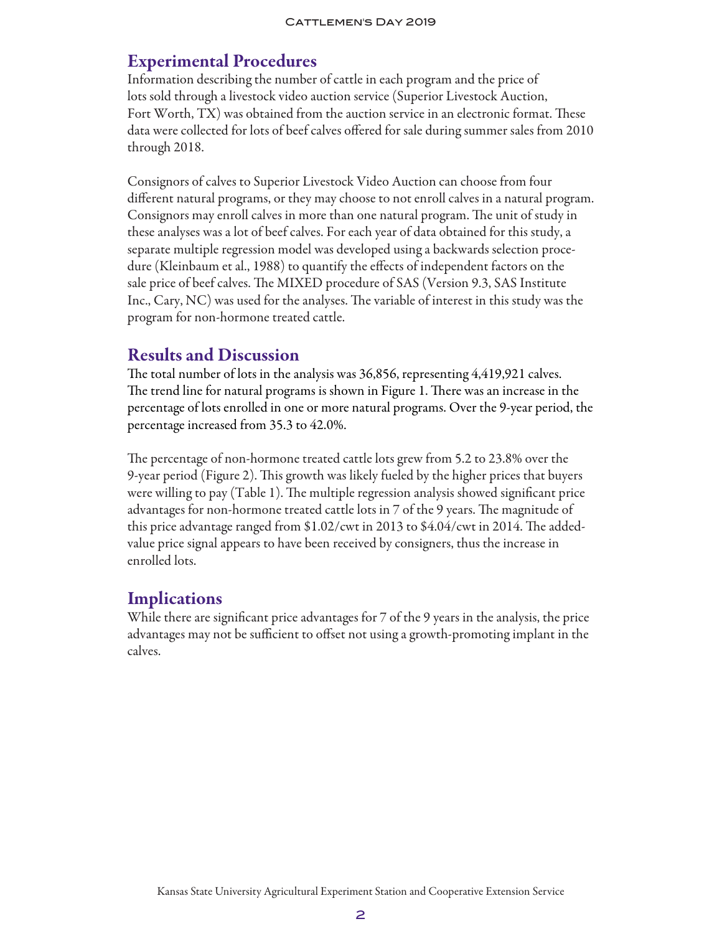## Experimental Procedures

Information describing the number of cattle in each program and the price of lots sold through a livestock video auction service (Superior Livestock Auction, Fort Worth, TX) was obtained from the auction service in an electronic format. These data were collected for lots of beef calves offered for sale during summer sales from 2010 through 2018.

Consignors of calves to Superior Livestock Video Auction can choose from four different natural programs, or they may choose to not enroll calves in a natural program. Consignors may enroll calves in more than one natural program. The unit of study in these analyses was a lot of beef calves. For each year of data obtained for this study, a separate multiple regression model was developed using a backwards selection procedure (Kleinbaum et al., 1988) to quantify the effects of independent factors on the sale price of beef calves. The MIXED procedure of SAS (Version 9.3, SAS Institute Inc., Cary, NC) was used for the analyses. The variable of interest in this study was the program for non-hormone treated cattle.

### Results and Discussion

The total number of lots in the analysis was 36,856, representing 4,419,921 calves. The trend line for natural programs is shown in Figure 1. There was an increase in the percentage of lots enrolled in one or more natural programs. Over the 9-year period, the percentage increased from 35.3 to 42.0%.

The percentage of non-hormone treated cattle lots grew from 5.2 to 23.8% over the 9-year period (Figure 2). This growth was likely fueled by the higher prices that buyers were willing to pay (Table 1). The multiple regression analysis showed significant price advantages for non-hormone treated cattle lots in 7 of the 9 years. The magnitude of this price advantage ranged from \$1.02/cwt in 2013 to \$4.04/cwt in 2014. The addedvalue price signal appears to have been received by consigners, thus the increase in enrolled lots.

### **Implications**

While there are significant price advantages for 7 of the 9 years in the analysis, the price advantages may not be sufficient to offset not using a growth-promoting implant in the calves.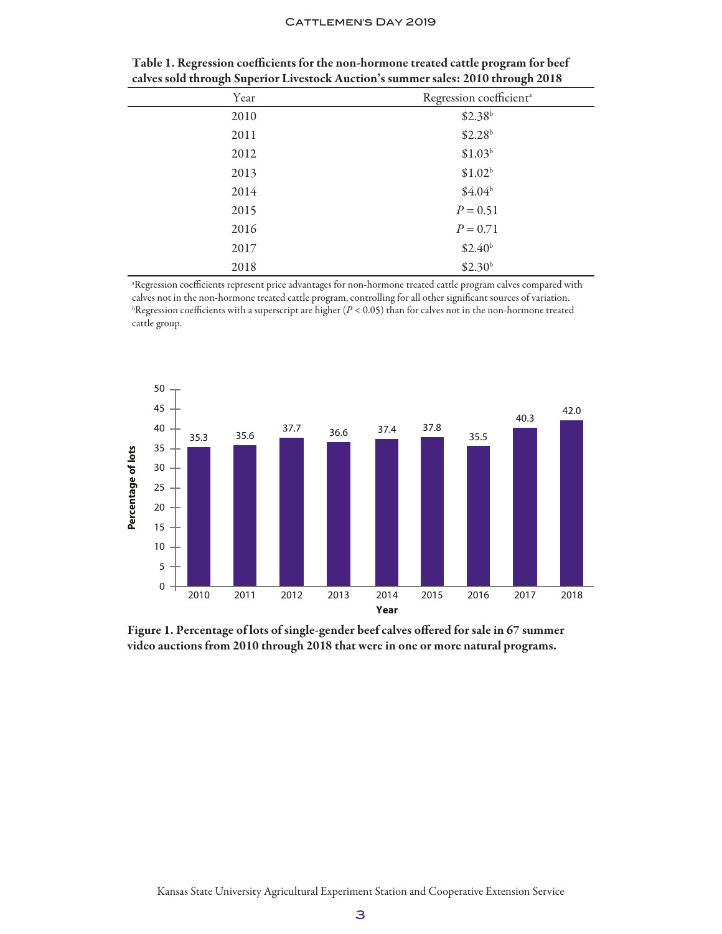#### CATTLEMEN'S DAY 2019

| Year | Regression coefficient <sup>a</sup> |
|------|-------------------------------------|
| 2010 | \$2.38 <sup>b</sup>                 |
| 2011 | \$2.28 <sup>b</sup>                 |
| 2012 | \$1.03 <sup>b</sup>                 |
| 2013 | \$1.02 <sup>b</sup>                 |
| 2014 | \$4.04 <sup>b</sup>                 |
| 2015 | $P = 0.51$                          |
| 2016 | $P = 0.71$                          |
| 2017 | \$2.40 <sup>b</sup>                 |
| 2018 | \$2.30 <sup>b</sup>                 |

| Table 1. Regression coefficients for the non-hormone treated cattle program for beef |  |
|--------------------------------------------------------------------------------------|--|
| calves sold through Superior Livestock Auction's summer sales: 2010 through 2018     |  |

a Regression coefficients represent price advantages for non-hormone treated cattle program calves compared with calves not in the non-hormone treated cattle program, controlling for all other significant sources of variation.  $b$ Regression coefficients with a superscript are higher  $(P < 0.05)$  than for calves not in the non-hormone treated cattle group.



Figure 1. Percentage of lots of single-gender beef calves offered for sale in 67 summer video auctions from 2010 through 2018 that were in one or more natural programs.